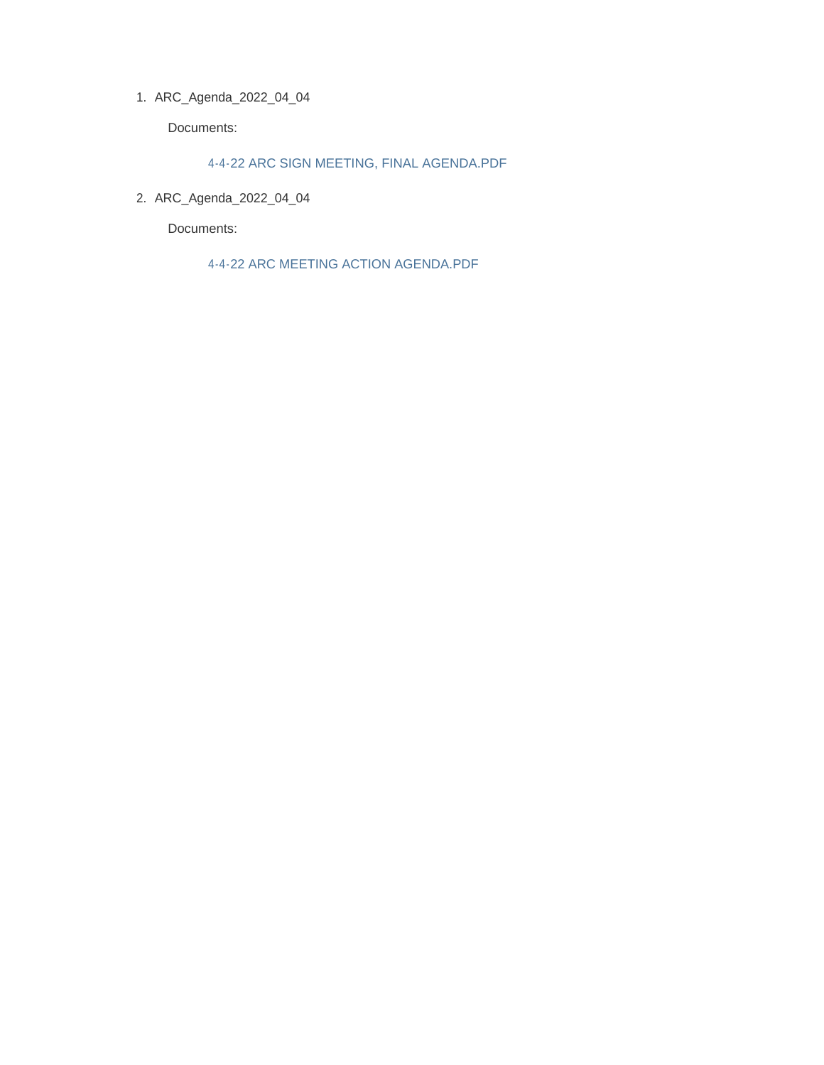ARC\_Agenda\_2022\_04\_04 1.

Documents:

4-4-22 ARC SIGN MEETING, FINAL AGENDA.PDF

ARC\_Agenda\_2022\_04\_04 2.

Documents:

4-4-22 ARC MEETING ACTION AGENDA.PDF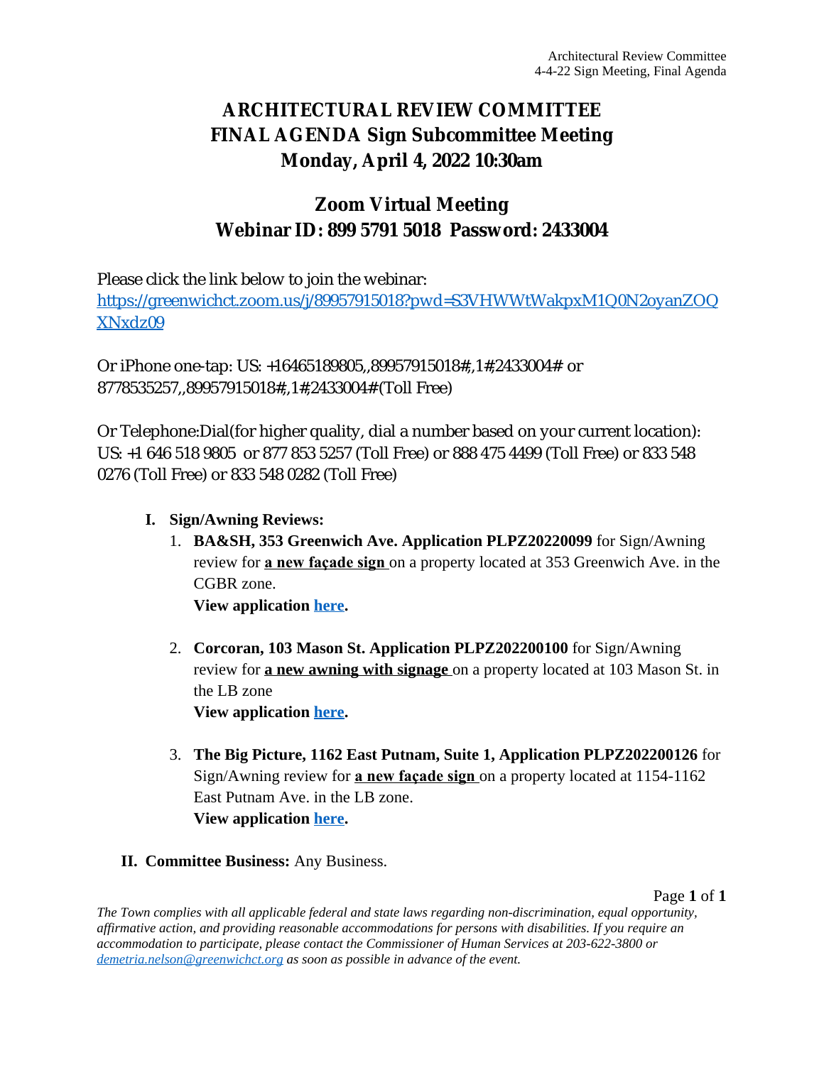## **ARCHITECTURAL REVIEW COMMITTEE FINAL AGENDA Sign Subcommittee Meeting Monday, April 4, 2022 10:30am**

## **Zoom Virtual Meeting Webinar ID: 899 5791 5018 Password: 2433004**

Please click the link below to join the webinar:

[https://greenwichct.zoom.us/j/89957915018?pwd=S3VHWWtWakpxM1Q0N2oyanZOQ](https://greenwichct.zoom.us/j/89957915018?pwd=S3VHWWtWakpxM1Q0N2oyanZOQXNxdz09) XNxdz09

Or iPhone one-tap: US: +16465189805,,89957915018#,,1#,2433004# or 8778535257,,89957915018#,,1#,2433004# (Toll Free)

Or Telephone:Dial(for higher quality, dial a number based on your current location): US: +1 646 518 9805 or 877 853 5257 (Toll Free) or 888 475 4499 (Toll Free) or 833 548 0276 (Toll Free) or 833 548 0282 (Toll Free)

- **I. Sign/Awning Reviews:**
	- 1. **BA&SH, 353 Greenwich Ave. Application PLPZ20220099** for Sign/Awning review for **a new façade sign** on a property located at 353 Greenwich Ave. in the CGBR zone.

**View application [here.](https://www.greenwichct.gov/DocumentCenter/View/29425/353-Greenwich-Ave-Bash-PLPZ202200099)**

- 2. **Corcoran, 103 Mason St. Application PLPZ202200100** for Sign/Awning review for **a new awning with signage** on a property located at 103 Mason St. in the LB zone **View application [here.](https://www.greenwichct.gov/DocumentCenter/View/29424/103-Mason-St-Corcoran-awning-PLPZ-2022-000100)**
- 3. **The Big Picture, 1162 East Putnam, Suite 1, Application PLPZ202200126** for Sign/Awning review for **a new façade sign** on a property located at 1154-1162 East Putnam Ave. in the LB zone. **View application [here.](https://www.greenwichct.gov/DocumentCenter/View/29426/1162-EPA-The-Big-Picture-PLPZ202200126)**
- **II. Committee Business:** Any Business.

Page **1** of **1**

*The Town complies with all applicable federal and state laws regarding non-discrimination, equal opportunity, affirmative action, and providing reasonable accommodations for persons with disabilities. If you require an accommodation to participate, please contact the Commissioner of Human Services at 203-622-3800 or [demetria.nelson@greenwichct.org](mailto:demetria.nelson@greenwichct.org) as soon as possible in advance of the event.*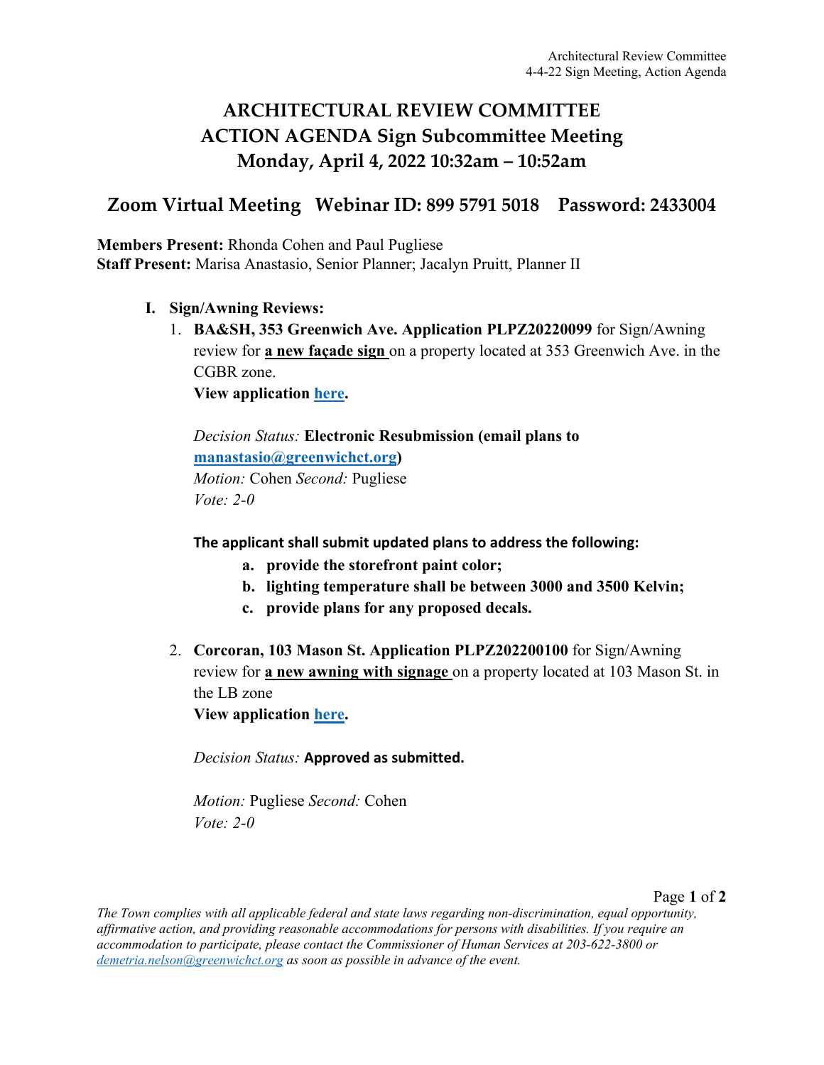## **ARCHITECTURAL REVIEW COMMITTEE ACTION AGENDA Sign Subcommittee Meeting Monday, April 4, 2022 10:32am – 10:52am**

## **Zoom Virtual Meeting Webinar ID: 899 5791 5018 Password: 2433004**

**Members Present:** Rhonda Cohen and Paul Pugliese **Staff Present:** Marisa Anastasio, Senior Planner; Jacalyn Pruitt, Planner II

- **I. Sign/Awning Reviews:**
	- 1. **BA&SH, 353 Greenwich Ave. Application PLPZ20220099** for Sign/Awning review for **a new façade sign** on a property located at 353 Greenwich Ave. in the CGBR zone.

**View application [here.](https://www.greenwichct.gov/DocumentCenter/View/29425/353-Greenwich-Ave-Bash-PLPZ202200099)** 

*Decision Status:* **Electronic Resubmission (email plans to [manastasio@greenwichct.org\)](mailto:manastasio@greenwichct.org)** *Motion:* Cohen *Second:* Pugliese *Vote: 2-0*

**The applicant shall submit updated plans to address the following:** 

- **a. provide the storefront paint color;**
- **b. lighting temperature shall be between 3000 and 3500 Kelvin;**
- **c. provide plans for any proposed decals.**
- 2. **Corcoran, 103 Mason St. Application PLPZ202200100** for Sign/Awning review for **a new awning with signage** on a property located at 103 Mason St. in the LB zone **View application [here.](https://www.greenwichct.gov/DocumentCenter/View/29424/103-Mason-St-Corcoran-awning-PLPZ-2022-000100)**

*Decision Status:* **Approved as submitted.**

*Motion:* Pugliese *Second:* Cohen *Vote: 2-0*

Page **1** of **2**

*The Town complies with all applicable federal and state laws regarding non-discrimination, equal opportunity, affirmative action, and providing reasonable accommodations for persons with disabilities. If you require an accommodation to participate, please contact the Commissioner of Human Services at 203-622-3800 or [demetria.nelson@greenwichct.org](mailto:demetria.nelson@greenwichct.org) as soon as possible in advance of the event.*